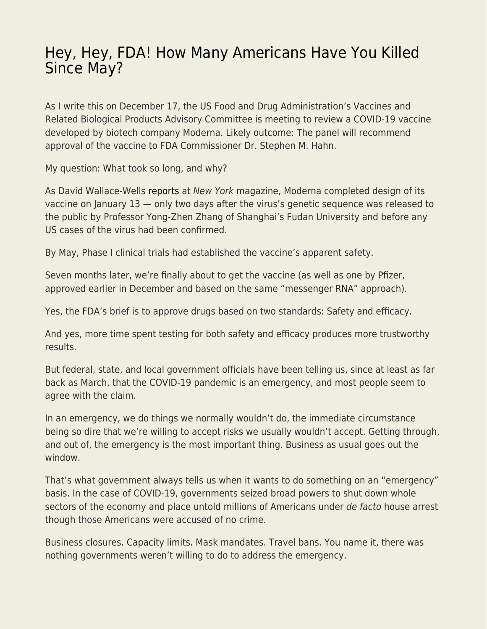## [Hey, Hey, FDA! How Many Americans Have You Killed](https://everything-voluntary.com/hey-hey-fda-how-many-americans-have-you-killed-since-may) [Since May?](https://everything-voluntary.com/hey-hey-fda-how-many-americans-have-you-killed-since-may)

As I write this on December 17, the US Food and Drug Administration's Vaccines and Related Biological Products Advisory Committee is meeting to review a COVID-19 vaccine developed by biotech company Moderna. Likely outcome: The panel will recommend approval of the vaccine to FDA Commissioner Dr. Stephen M. Hahn.

My question: What took so long, and why?

As David Wallace-Wells [reports](https://nymag.com/intelligencer/2020/12/moderna-covid-19-vaccine-design.html) at New York magazine, Moderna completed design of its vaccine on January 13 — only two days after the virus's genetic sequence was released to the public by Professor Yong-Zhen Zhang of Shanghai's Fudan University and before any US cases of the virus had been confirmed.

By May, Phase I clinical trials had established the vaccine's apparent safety.

Seven months later, we're finally about to get the vaccine (as well as one by Pfizer, approved earlier in December and based on the same "messenger RNA" approach).

Yes, the FDA's brief is to approve drugs based on two standards: Safety and efficacy.

And yes, more time spent testing for both safety and efficacy produces more trustworthy results.

But federal, state, and local government officials have been telling us, since at least as far back as March, that the COVID-19 pandemic is an emergency, and most people seem to agree with the claim.

In an emergency, we do things we normally wouldn't do, the immediate circumstance being so dire that we're willing to accept risks we usually wouldn't accept. Getting through, and out of, the emergency is the most important thing. Business as usual goes out the window.

That's what government always tells us when it wants to do something on an "emergency" basis. In the case of COVID-19, governments seized broad powers to shut down whole sectors of the economy and place untold millions of Americans under de facto house arrest though those Americans were accused of no crime.

Business closures. Capacity limits. Mask mandates. Travel bans. You name it, there was nothing governments weren't willing to do to address the emergency.